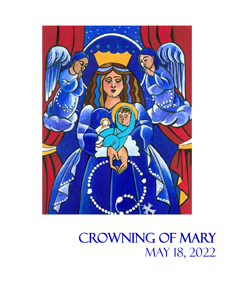

# Crowning of Mary May 18, 2022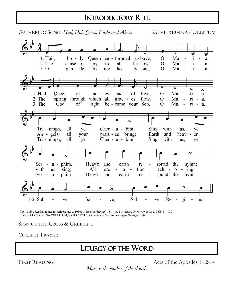## INTRODUCTORY RITE

1. Hail.  $ho - ly$ Oueen en - throned a - bove. Ma O ri a.  $2$  The Ma cause of joy all  $be - low.$  $\Omega$ to ri a.  $3.0$ gen - tle.  $\Omega$ Ma  $lov - ing$ . ho ly one.  $\sim$ 'n  $\overline{a}$ . ø ಶ 1. Hail, of **Oueen** of  $mer - cy$ and love.  $\Omega$ Ma  $\overline{\mathbf{n}}$ a.  $2.$  The spring through which all grac - es flow.  $\mathbf{O}$ Ma  $\overline{\mathbf{n}}$ a.  $\sim$ 3. The God of light be - came your Son,  $\overline{O}$ Ma  $\overline{\textbf{n}}$  $\sim$ a. **Sing** Tri - umph, all Cher -  $u$  - bim; with ye us, ye An - gels, all your prais - es bring; Earth and heav en, Cher -  $u$  -  $b$ im: with Tri - umph, all ye **Sing** us. ye Heav'n  $Ser - a - phim.$ sound the and earth hymn: re  $A11$ with sing; tion ech  $-$  0  $-$  ing: **us** cre  $\blacksquare$ a  $\sim$ Ser -  $a$  -  $phim$ . Heav'n and earth sound the hymn: re 1-3. Sal Sal Sal ve. ve, ve Re  $g_1$ na.

Text: Salve Regina, mater misericordiae; c. 1080; tr. Roman Hymnal, 1884; st. 2-3, adapt. by M. Owen Lee, CSB, b. 1930 Tune: SALVE REGINA COELITUM, 8 4 8 4 777 4 5; Choralmelodien zum Heiligen Gesänge, 1808

#### SIGN OF THE CROSS & GREETING

COLLECT PRAYER

### LITURGY OF THE WORD j

FIRST READING Acts of the Apostles 1:12-14

*Mary is the mother of the church.*

GATHERING SONG: *Hail, Holy Queen Enthroned Above* SALVE REGINA COELITUM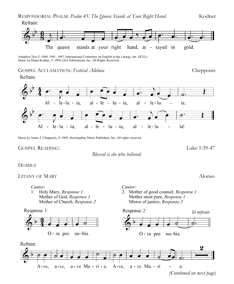

Antiphon Text © 1969, 1981, 1997, International Committee on English in the Liturgy, Inc. (ICEL) Music by Diana Kodner, © 1994, GIA Publications, Inc. All Rights Reserved.

#### GOSPEL ACCLAMATION: *Festival Alleluia* Chepponis





Music by James J. Chepponis, © 1999, MorningStar Music Publishers, Inc. All rights reserved.

#### GOSPEL READING: Luke 1:39-47

*Blessed is she who believed.*

#### **HOMILY**

#### LITANY OF MARY ALONG ALONG A REPORT OF MARY ALONG A REPORT OF MARY ALONG A REPORT OF MARY ALONG A REPORT OF MA

*Cantor:*

1. Holy Mary, *Response 1* Mother of God, *Response 1* Mother of Church, *Response 2*

Response 1:



#### *Cantor:*

2. Mother of good counsel*, Response 1* Mother most pure, *Response 1* Mirror of justice, *Response 2*